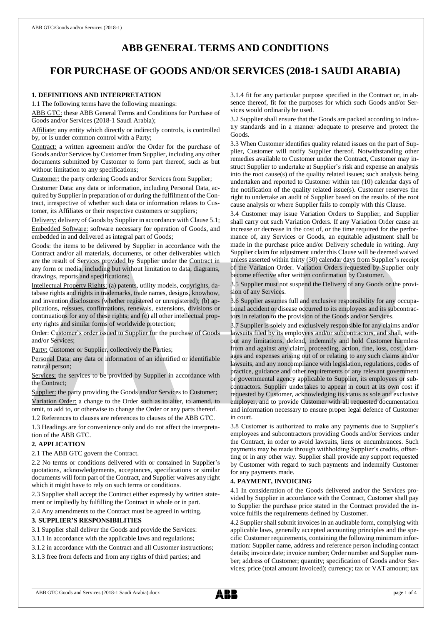# **ABB GENERAL TERMS AND CONDITIONS**

# **FOR PURCHASE OF GOODS AND/OR SERVICES (2018-1 SAUDI ARABIA)**

# **1. DEFINITIONS AND INTERPRETATION**

1.1 The following terms have the following meanings:

ABB GTC: these ABB General Terms and Conditions for Purchase of Goods and/or Services (2018-1 Saudi Arabia);

Affiliate: any entity which directly or indirectly controls, is controlled by, or is under common control with a Party;

Contract: a written agreement and/or the Order for the purchase of Goods and/or Services by Customer from Supplier, including any other documents submitted by Customer to form part thereof, such as but without limitation to any specifications;

Customer: the party ordering Goods and/or Services from Supplier;

Customer Data: any data or information, including Personal Data, acquired by Supplier in preparation of or during the fulfilment of the Contract, irrespective of whether such data or information relates to Customer, its Affiliates or their respective customers or suppliers;

Delivery: delivery of Goods by Supplier in accordance with Clause 5.1; Embedded Software: software necessary for operation of Goods, and embedded in and delivered as integral part of Goods;

Goods: the items to be delivered by Supplier in accordance with the Contract and/or all materials, documents, or other deliverables which are the result of Services provided by Supplier under the Contract in any form or media, including but without limitation to data, diagrams, drawings, reports and specifications;

Intellectual Property Rights: (a) patents, utility models, copyrights, database rights and rights in trademarks, trade names, designs, knowhow, and invention disclosures (whether registered or unregistered); (b) applications, reissues, confirmations, renewals, extensions, divisions or continuations for any of these rights; and (c) all other intellectual property rights and similar forms of worldwide protection;

Order: Customer's order issued to Supplier for the purchase of Goods and/or Services;

Party: Customer or Supplier, collectively the Parties;

Personal Data: any data or information of an identified or identifiable natural person;

Services: the services to be provided by Supplier in accordance with the Contract;

Supplier: the party providing the Goods and/or Services to Customer; Variation Order: a change to the Order such as to alter, to amend, to omit, to add to, or otherwise to change the Order or any parts thereof.

1.2 References to clauses are references to clauses of the ABB GTC.

1.3 Headings are for convenience only and do not affect the interpretation of the ABB GTC.

## **2. APPLICATION**

2.1 The ABB GTC govern the Contract.

2.2 No terms or conditions delivered with or contained in Supplier's quotations, acknowledgements, acceptances, specifications or similar documents will form part of the Contract, and Supplier waives any right which it might have to rely on such terms or conditions.

2.3 Supplier shall accept the Contract either expressly by written statement or impliedly by fulfilling the Contract in whole or in part.

2.4 Any amendments to the Contract must be agreed in writing.

#### **3. SUPPLIER'S RESPONSIBILITIES**

3.1 Supplier shall deliver the Goods and provide the Services:

3.1.1 in accordance with the applicable laws and regulations;

3.1.2 in accordance with the Contract and all Customer instructions;

3.1.3 free from defects and from any rights of third parties; and

3.1.4 fit for any particular purpose specified in the Contract or, in absence thereof, fit for the purposes for which such Goods and/or Services would ordinarily be used.

3.2 Supplier shall ensure that the Goods are packed according to industry standards and in a manner adequate to preserve and protect the Goods.

3.3 When Customer identifies quality related issues on the part of Supplier, Customer will notify Supplier thereof. Notwithstanding other remedies available to Customer under the Contract, Customer may instruct Supplier to undertake at Supplier's risk and expense an analysis into the root cause(s) of the quality related issues; such analysis being undertaken and reported to Customer within ten (10) calendar days of the notification of the quality related issue(s). Customer reserves the right to undertake an audit of Supplier based on the results of the root cause analysis or where Supplier fails to comply with this Clause.

3.4 Customer may issue Variation Orders to Supplier, and Supplier shall carry out such Variation Orders. If any Variation Order cause an increase or decrease in the cost of, or the time required for the performance of, any Services or Goods, an equitable adjustment shall be made in the purchase price and/or Delivery schedule in writing. Any Supplier claim for adjustment under this Clause will be deemed waived unless asserted within thirty (30) calendar days from Supplier's receipt of the Variation Order. Variation Orders requested by Supplier only become effective after written confirmation by Customer.

3.5 Supplier must not suspend the Delivery of any Goods or the provision of any Services.

3.6 Supplier assumes full and exclusive responsibility for any occupational accident or disease occurred to its employees and its subcontractors in relation to the provision of the Goods and/or Services.

3.7 Supplier is solely and exclusively responsible for any claims and/or lawsuits filed by its employees and/or subcontractors, and shall, without any limitations, defend, indemnify and hold Customer harmless from and against any claim, proceeding, action, fine, loss, cost, damages and expenses arising out of or relating to any such claims and/or lawsuits, and any noncompliance with legislation, regulations, codes of practice, guidance and other requirements of any relevant government or governmental agency applicable to Supplier, its employees or subcontractors. Supplier undertakes to appear in court at its own cost if requested by Customer, acknowledging its status as sole and exclusive employer, and to provide Customer with all requested documentation and information necessary to ensure proper legal defence of Customer in court.

3.8 Customer is authorized to make any payments due to Supplier's employees and subcontractors providing Goods and/or Services under the Contract, in order to avoid lawsuits, liens or encumbrances. Such payments may be made through withholding Supplier's credits, offsetting or in any other way. Supplier shall provide any support requested by Customer with regard to such payments and indemnify Customer for any payments made.

## **4. PAYMENT, INVOICING**

4.1 In consideration of the Goods delivered and/or the Services provided by Supplier in accordance with the Contract, Customer shall pay to Supplier the purchase price stated in the Contract provided the invoice fulfils the requirements defined by Customer.

4.2 Supplier shall submit invoices in an auditable form, complying with applicable laws, generally accepted accounting principles and the specific Customer requirements, containing the following minimum information: Supplier name, address and reference person including contact details; invoice date; invoice number; Order number and Supplier number; address of Customer; quantity; specification of Goods and/or Services; price (total amount invoiced); currency; tax or VAT amount; tax

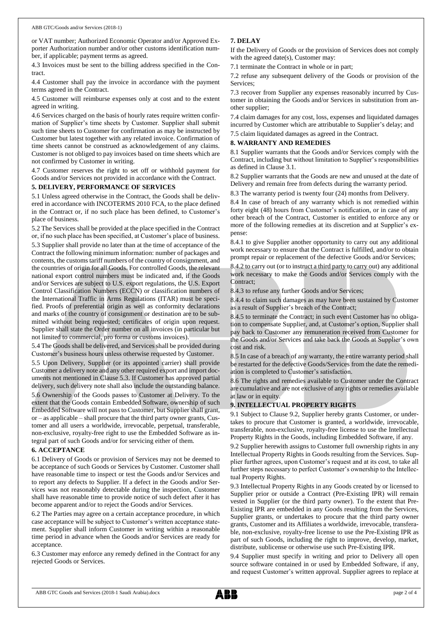or VAT number; Authorized Economic Operator and/or Approved Exporter Authorization number and/or other customs identification number, if applicable; payment terms as agreed.

4.3 Invoices must be sent to the billing address specified in the Contract.

4.4 Customer shall pay the invoice in accordance with the payment terms agreed in the Contract.

4.5 Customer will reimburse expenses only at cost and to the extent agreed in writing.

4.6 Services charged on the basis of hourly rates require written confirmation of Supplier's time sheets by Customer. Supplier shall submit such time sheets to Customer for confirmation as may be instructed by Customer but latest together with any related invoice. Confirmation of time sheets cannot be construed as acknowledgement of any claims. Customer is not obliged to pay invoices based on time sheets which are not confirmed by Customer in writing.

4.7 Customer reserves the right to set off or withhold payment for Goods and/or Services not provided in accordance with the Contract.

#### **5. DELIVERY, PERFORMANCE OF SERVICES**

5.1 Unless agreed otherwise in the Contract, the Goods shall be delivered in accordance with INCOTERMS 2010 FCA, to the place defined in the Contract or, if no such place has been defined, to Customer's place of business.

5.2 The Services shall be provided at the place specified in the Contract or, if no such place has been specified, at Customer's place of business.

5.3 Supplier shall provide no later than at the time of acceptance of the Contract the following minimum information: number of packages and contents, the customs tariff numbers of the country of consignment, and the countries of origin for all Goods. For controlled Goods, the relevant national export control numbers must be indicated and, if the Goods and/or Services are subject to U.S. export regulations, the U.S. Export Control Classification Numbers (ECCN) or classification numbers of the International Traffic in Arms Regulations (ITAR) must be specified. Proofs of preferential origin as well as conformity declarations and marks of the country of consignment or destination are to be submitted without being requested; certificates of origin upon request. Supplier shall state the Order number on all invoices (in particular but not limited to commercial, pro forma or customs invoices).

5.4 The Goods shall be delivered, and Services shall be provided during Customer's business hours unless otherwise requested by Customer.

5.5 Upon Delivery, Supplier (or its appointed carrier) shall provide Customer a delivery note and any other required export and import documents not mentioned in Clause 5.3. If Customer has approved partial delivery, such delivery note shall also include the outstanding balance.

5.6 Ownership of the Goods passes to Customer at Delivery. To the extent that the Goods contain Embedded Software, ownership of such Embedded Software will not passto Customer, but Supplier shall grant, or – as applicable – shall procure that the third party owner grants, Customer and all users a worldwide, irrevocable, perpetual, transferable, non-exclusive, royalty-free right to use the Embedded Software as integral part of such Goods and/or for servicing either of them.

#### **6. ACCEPTANCE**

6.1 Delivery of Goods or provision of Services may not be deemed to be acceptance of such Goods or Services by Customer. Customer shall have reasonable time to inspect or test the Goods and/or Services and to report any defects to Supplier. If a defect in the Goods and/or Services was not reasonably detectable during the inspection, Customer shall have reasonable time to provide notice of such defect after it has become apparent and/or to reject the Goods and/or Services.

6.2 The Parties may agree on a certain acceptance procedure, in which case acceptance will be subject to Customer's written acceptance statement. Supplier shall inform Customer in writing within a reasonable time period in advance when the Goods and/or Services are ready for acceptance.

6.3 Customer may enforce any remedy defined in the Contract for any rejected Goods or Services.

# **7. DELAY**

If the Delivery of Goods or the provision of Services does not comply with the agreed date(s), Customer may:

7.1 terminate the Contract in whole or in part;

7.2 refuse any subsequent delivery of the Goods or provision of the Services;

7.3 recover from Supplier any expenses reasonably incurred by Customer in obtaining the Goods and/or Services in substitution from another supplier;

7.4 claim damages for any cost, loss, expenses and liquidated damages incurred by Customer which are attributable to Supplier's delay; and

7.5 claim liquidated damages as agreed in the Contract.

## **8. WARRANTY AND REMEDIES**

8.1 Supplier warrants that the Goods and/or Services comply with the Contract, including but without limitation to Supplier's responsibilities as defined in Clause 3.1.

8.2 Supplier warrants that the Goods are new and unused at the date of Delivery and remain free from defects during the warranty period.

8.3 The warranty period is twenty four (24) months from Delivery.

8.4 In case of breach of any warranty which is not remedied within forty eight (48) hours from Customer's notification, or in case of any other breach of the Contract, Customer is entitled to enforce any or more of the following remedies at its discretion and at Supplier's expense:

8.4.1 to give Supplier another opportunity to carry out any additional work necessary to ensure that the Contract is fulfilled, and/or to obtain prompt repair or replacement of the defective Goods and/or Services;

8.4.2 to carry out (or to instruct a third party to carry out) any additional work necessary to make the Goods and/or Services comply with the Contract;

8.4.3 to refuse any further Goods and/or Services;

8.4.4 to claim such damages as may have been sustained by Customer as a result of Supplier's breach of the Contract;

8.4.5 to terminate the Contract; in such event Customer has no obligation to compensate Supplier, and, at Customer's option, Supplier shall pay back to Customer any remuneration received from Customer for the Goods and/or Services and take back the Goods at Supplier's own cost and risk.

8.5 In case of a breach of any warranty, the entire warranty period shall be restarted for the defective Goods/Services from the date the remediation is completed to Customer's satisfaction.

8.6 The rights and remedies available to Customer under the Contract are cumulative and are not exclusive of any rights or remedies available at law or in equity.

## **9. INTELLECTUAL PROPERTY RIGHTS**

9.1 Subject to Clause 9.2, Supplier hereby grants Customer, or undertakes to procure that Customer is granted, a worldwide, irrevocable, transferable, non-exclusive, royalty-free license to use the Intellectual Property Rights in the Goods, including Embedded Software, if any.

9.2 Supplier herewith assigns to Customer full ownership rights in any Intellectual Property Rights in Goods resulting from the Services. Supplier further agrees, upon Customer's request and at its cost, to take all further steps necessary to perfect Customer's ownership to the Intellectual Property Rights.

9.3 Intellectual Property Rights in any Goods created by or licensed to Supplier prior or outside a Contract (Pre-Existing IPR) will remain vested in Supplier (or the third party owner). To the extent that Pre-Existing IPR are embedded in any Goods resulting from the Services, Supplier grants, or undertakes to procure that the third party owner grants, Customer and its Affiliates a worldwide, irrevocable, transferable, non-exclusive, royalty-free license to use the Pre-Existing IPR as part of such Goods, including the right to improve, develop, market, distribute, sublicense or otherwise use such Pre-Existing IPR.

9.4 Supplier must specify in writing and prior to Delivery all open source software contained in or used by Embedded Software, if any, and request Customer's written approval. Supplier agrees to replace at

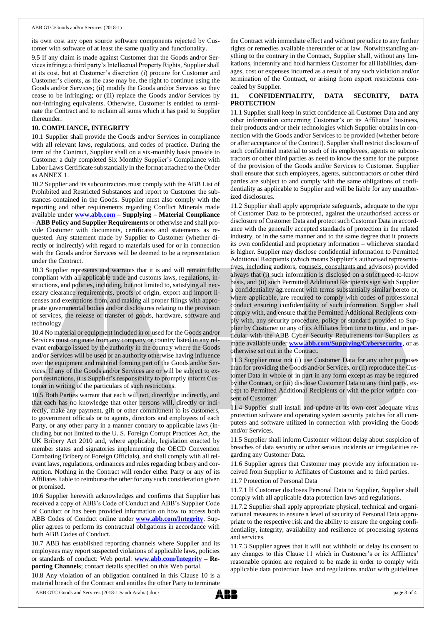its own cost any open source software components rejected by Customer with software of at least the same quality and functionality.

9.5 If any claim is made against Customer that the Goods and/or Services infringe a third party's Intellectual Property Rights, Supplier shall at its cost, but at Customer's discretion (i) procure for Customer and Customer's clients, as the case may be, the right to continue using the Goods and/or Services; (ii) modify the Goods and/or Services so they cease to be infringing; or (iii) replace the Goods and/or Services by non-infringing equivalents. Otherwise, Customer is entitled to terminate the Contract and to reclaim all sums which it has paid to Supplier thereunder.

#### **10. COMPLIANCE, INTEGRITY**

10.1 Supplier shall provide the Goods and/or Services in compliance with all relevant laws, regulations, and codes of practice. During the term of the Contract, Supplier shall on a six-monthly basis provide to Customer a duly completed Six Monthly Supplier's Compliance with Labor Laws Certificate substantially in the format attached to the Order as ANNEX 1.

10.2 Supplier and its subcontractors must comply with the ABB List of Prohibited and Restricted Substances and report to Customer the substances contained in the Goods. Supplier must also comply with the reporting and other requirements regarding Conflict Minerals made available under **[www.abb.com](http://www.abb.com/) – Supplying – Material Compliance – ABB Policy and Supplier Requirements** or otherwise and shall provide Customer with documents, certificates and statements as requested. Any statement made by Supplier to Customer (whether directly or indirectly) with regard to materials used for or in connection with the Goods and/or Services will be deemed to be a representation under the Contract.

10.3 Supplier represents and warrants that it is and will remain fully compliant with all applicable trade and customs laws, regulations, instructions, and policies, including, but not limited to, satisfying all necessary clearance requirements, proofs of origin, export and import licenses and exemptions from, and making all proper filings with appropriate governmental bodies and/or disclosures relating to the provision of services, the release or transfer of goods, hardware, software and technology.

10.4 No material or equipment included in or used for the Goods and/or Services must originate from any company or country listed in any relevant embargo issued by the authority in the country where the Goods and/or Services will be used or an authority otherwise having influence over the equipment and material forming part of the Goods and/or Services. If any of the Goods and/or Services are or will be subject to export restrictions, it is Supplier's responsibility to promptly inform Customer in writing of the particulars of such restrictions.

10.5 Both Parties warrant that each will not, directly or indirectly, and that each has no knowledge that other persons will, directly or indirectly, make any payment, gift or other commitment to its customers, to government officials or to agents, directors and employees of each Party, or any other party in a manner contrary to applicable laws (including but not limited to the U. S. Foreign Corrupt Practices Act, the UK Bribery Act 2010 and, where applicable, legislation enacted by member states and signatories implementing the OECD Convention Combating Bribery of Foreign Officials), and shall comply with all relevant laws, regulations, ordinances and rules regarding bribery and corruption. Nothing in the Contract will render either Party or any of its Affiliates liable to reimburse the other for any such consideration given or promised.

10.6 Supplier herewith acknowledges and confirms that Supplier has received a copy of ABB's Code of Conduct and ABB's Supplier Code of Conduct or has been provided information on how to access both ABB Codes of Conduct online under **[www.abb.com/Integrity](http://www.abb.com/Integrity)**. Supplier agrees to perform its contractual obligations in accordance with both ABB Codes of Conduct.

10.7 ABB has established reporting channels where Supplier and its employees may report suspected violations of applicable laws, policies or standards of conduct: Web portal: **[www.abb.com/Integrity](http://www.abb.com/Integrity) – Reporting Channels**; contact details specified on this Web portal.

10.8 Any violation of an obligation contained in this Clause 10 is a material breach of the Contract and entitles the other Party to terminate

the Contract with immediate effect and without prejudice to any further rights or remedies available thereunder or at law. Notwithstanding anything to the contrary in the Contract, Supplier shall, without any limitations, indemnify and hold harmless Customer for all liabilities, damages, cost or expenses incurred as a result of any such violation and/or termination of the Contract, or arising from export restrictions concealed by Supplier.

## **11. CONFIDENTIALITY, DATA SECURITY, DATA PROTECTION**

11.1 Supplier shall keep in strict confidence all Customer Data and any other information concerning Customer's or its Affiliates' business, their products and/or their technologies which Supplier obtains in connection with the Goods and/or Services to be provided (whether before or after acceptance of the Contract). Supplier shall restrict disclosure of such confidential material to such of its employees, agents or subcontractors or other third parties as need to know the same for the purpose of the provision of the Goods and/or Services to Customer. Supplier shall ensure that such employees, agents, subcontractors or other third parties are subject to and comply with the same obligations of confidentiality as applicable to Supplier and will be liable for any unauthorized disclosures.

11.2 Supplier shall apply appropriate safeguards, adequate to the type of Customer Data to be protected, against the unauthorised access or disclosure of Customer Data and protect such Customer Data in accordance with the generally accepted standards of protection in the related industry, or in the same manner and to the same degree that it protects its own confidential and proprietary information – whichever standard is higher. Supplier may disclose confidential information to Permitted Additional Recipients (which means Supplier's authorised representatives, including auditors, counsels, consultants and advisors) provided always that (i) such information is disclosed on a strict need-to-know basis, and (ii) such Permitted Additional Recipients sign with Supplier a confidentiality agreement with terms substantially similar hereto or, where applicable, are required to comply with codes of professional conduct ensuring confidentiality of such information. Supplier shall comply with, and ensure that the Permitted Additional Recipients comply with, any security procedure, policy or standard provided to Supplier by Customer or any of its Affiliates from time to time, and in particular with the ABB Cyber Security Requirements for Suppliers as made available under **[www.abb.com/Supplying/Cybersecurity](http://www.abb.com/Supplying/Cybersecurity)**, or as otherwise set out in the Contract.

11.3 Supplier must not (i) use Customer Data for any other purposes than for providing the Goods and/or Services, or (ii) reproduce the Customer Data in whole or in part in any form except as may be required by the Contract, or (iii) disclose Customer Data to any third party, except to Permitted Additional Recipients or with the prior written consent of Customer.

11.4 Supplier shall install and update at its own cost adequate virus protection software and operating system security patches for all computers and software utilized in connection with providing the Goods and/or Services.

11.5 Supplier shall inform Customer without delay about suspicion of breaches of data security or other serious incidents or irregularities regarding any Customer Data.

11.6 Supplier agrees that Customer may provide any information received from Supplier to Affiliates of Customer and to third parties.

#### 11.7 Protection of Personal Data

11.7.1 If Customer discloses Personal Data to Supplier, Supplier shall comply with all applicable data protection laws and regulations.

11.7.2 Supplier shall apply appropriate physical, technical and organizational measures to ensure a level of security of Personal Data appropriate to the respective risk and the ability to ensure the ongoing confidentiality, integrity, availability and resilience of processing systems and services.

11.7.3 Supplier agrees that it will not withhold or delay its consent to any changes to this Clause 11 which in Customer's or its Affiliates' reasonable opinion are required to be made in order to comply with applicable data protection laws and regulations and/or with guidelines